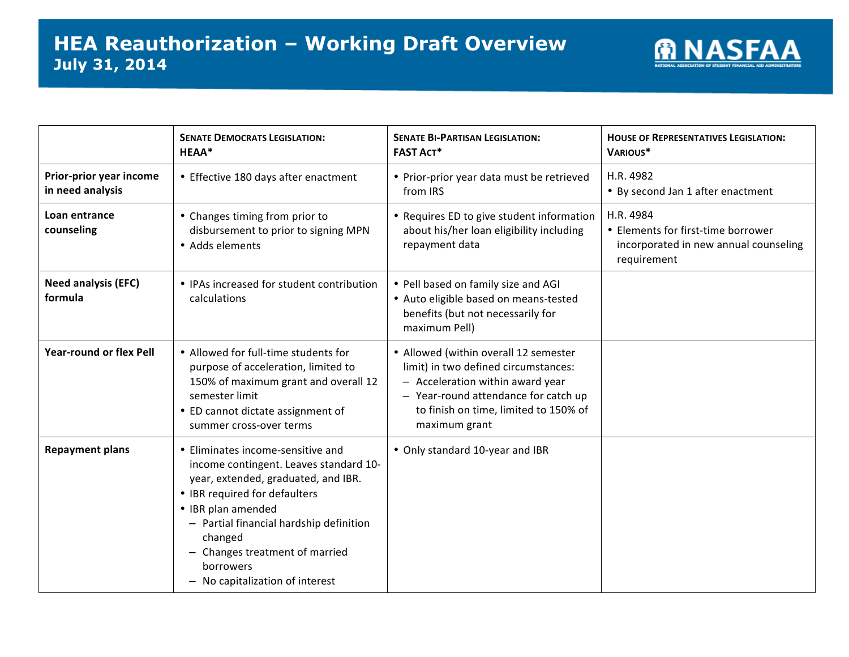

|                                             | <b>SENATE DEMOCRATS LEGISLATION:</b><br>HEAA*                                                                                                                                                                                                                                                                   | <b>SENATE BI-PARTISAN LEGISLATION:</b><br><b>FAST ACT*</b>                                                                                                                                                          | <b>HOUSE OF REPRESENTATIVES LEGISLATION:</b><br>VARIOUS*                                                |
|---------------------------------------------|-----------------------------------------------------------------------------------------------------------------------------------------------------------------------------------------------------------------------------------------------------------------------------------------------------------------|---------------------------------------------------------------------------------------------------------------------------------------------------------------------------------------------------------------------|---------------------------------------------------------------------------------------------------------|
| Prior-prior year income<br>in need analysis | • Effective 180 days after enactment                                                                                                                                                                                                                                                                            | • Prior-prior year data must be retrieved<br>from IRS                                                                                                                                                               | H.R. 4982<br>• By second Jan 1 after enactment                                                          |
| Loan entrance<br>counseling                 | • Changes timing from prior to<br>disbursement to prior to signing MPN<br>• Adds elements                                                                                                                                                                                                                       | • Requires ED to give student information<br>about his/her loan eligibility including<br>repayment data                                                                                                             | H.R. 4984<br>• Elements for first-time borrower<br>incorporated in new annual counseling<br>requirement |
| <b>Need analysis (EFC)</b><br>formula       | • IPAs increased for student contribution<br>calculations                                                                                                                                                                                                                                                       | • Pell based on family size and AGI<br>• Auto eligible based on means-tested<br>benefits (but not necessarily for<br>maximum Pell)                                                                                  |                                                                                                         |
| <b>Year-round or flex Pell</b>              | • Allowed for full-time students for<br>purpose of acceleration, limited to<br>150% of maximum grant and overall 12<br>semester limit<br>• ED cannot dictate assignment of<br>summer cross-over terms                                                                                                           | • Allowed (within overall 12 semester<br>limit) in two defined circumstances:<br>- Acceleration within award year<br>- Year-round attendance for catch up<br>to finish on time, limited to 150% of<br>maximum grant |                                                                                                         |
| <b>Repayment plans</b>                      | • Eliminates income-sensitive and<br>income contingent. Leaves standard 10-<br>year, extended, graduated, and IBR.<br>• IBR required for defaulters<br>• IBR plan amended<br>- Partial financial hardship definition<br>changed<br>Changes treatment of married<br>borrowers<br>- No capitalization of interest | • Only standard 10-year and IBR                                                                                                                                                                                     |                                                                                                         |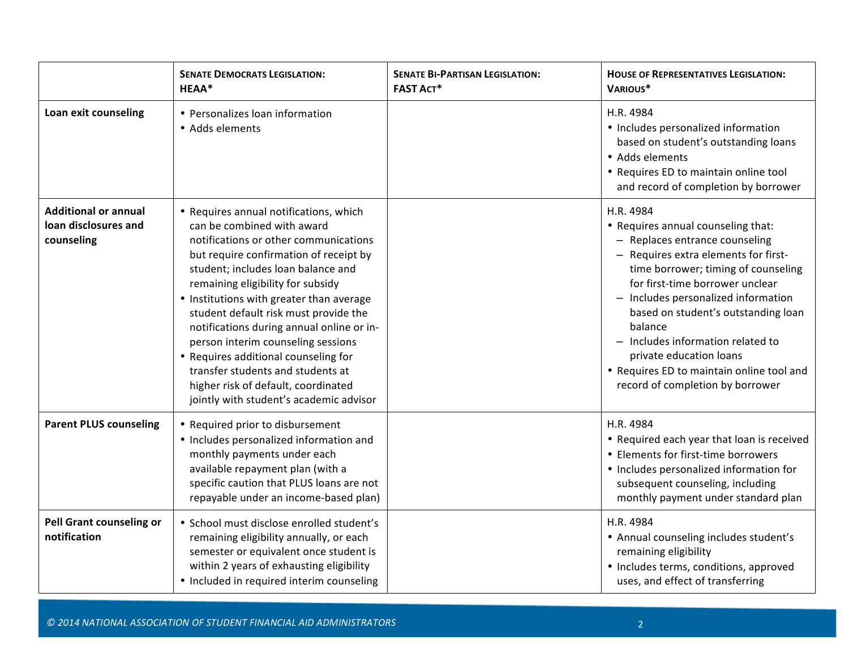|                                                                   | <b>SENATE DEMOCRATS LEGISLATION:</b><br>HEAA*                                                                                                                                                                                                                                                                                                                                                                                                                                                                                                                             | <b>SENATE BI-PARTISAN LEGISLATION:</b><br><b>FAST ACT*</b> | <b>HOUSE OF REPRESENTATIVES LEGISLATION:</b><br>VARIOUS*                                                                                                                                                                                                                                                                                                                                                                                      |
|-------------------------------------------------------------------|---------------------------------------------------------------------------------------------------------------------------------------------------------------------------------------------------------------------------------------------------------------------------------------------------------------------------------------------------------------------------------------------------------------------------------------------------------------------------------------------------------------------------------------------------------------------------|------------------------------------------------------------|-----------------------------------------------------------------------------------------------------------------------------------------------------------------------------------------------------------------------------------------------------------------------------------------------------------------------------------------------------------------------------------------------------------------------------------------------|
| Loan exit counseling                                              | • Personalizes loan information<br>• Adds elements                                                                                                                                                                                                                                                                                                                                                                                                                                                                                                                        |                                                            | H.R. 4984<br>• Includes personalized information<br>based on student's outstanding loans<br>• Adds elements<br>• Requires ED to maintain online tool<br>and record of completion by borrower                                                                                                                                                                                                                                                  |
| <b>Additional or annual</b><br>loan disclosures and<br>counseling | • Requires annual notifications, which<br>can be combined with award<br>notifications or other communications<br>but require confirmation of receipt by<br>student; includes loan balance and<br>remaining eligibility for subsidy<br>• Institutions with greater than average<br>student default risk must provide the<br>notifications during annual online or in-<br>person interim counseling sessions<br>• Requires additional counseling for<br>transfer students and students at<br>higher risk of default, coordinated<br>jointly with student's academic advisor |                                                            | H.R. 4984<br>• Requires annual counseling that:<br>- Replaces entrance counseling<br>- Requires extra elements for first-<br>time borrower; timing of counseling<br>for first-time borrower unclear<br>- Includes personalized information<br>based on student's outstanding loan<br>balance<br>- Includes information related to<br>private education loans<br>• Requires ED to maintain online tool and<br>record of completion by borrower |
| <b>Parent PLUS counseling</b>                                     | • Required prior to disbursement<br>• Includes personalized information and<br>monthly payments under each<br>available repayment plan (with a<br>specific caution that PLUS loans are not<br>repayable under an income-based plan)                                                                                                                                                                                                                                                                                                                                       |                                                            | H.R. 4984<br>• Required each year that loan is received<br>• Elements for first-time borrowers<br>• Includes personalized information for<br>subsequent counseling, including<br>monthly payment under standard plan                                                                                                                                                                                                                          |
| <b>Pell Grant counseling or</b><br>notification                   | • School must disclose enrolled student's<br>remaining eligibility annually, or each<br>semester or equivalent once student is<br>within 2 years of exhausting eligibility<br>• Included in required interim counseling                                                                                                                                                                                                                                                                                                                                                   |                                                            | H.R. 4984<br>• Annual counseling includes student's<br>remaining eligibility<br>• Includes terms, conditions, approved<br>uses, and effect of transferring                                                                                                                                                                                                                                                                                    |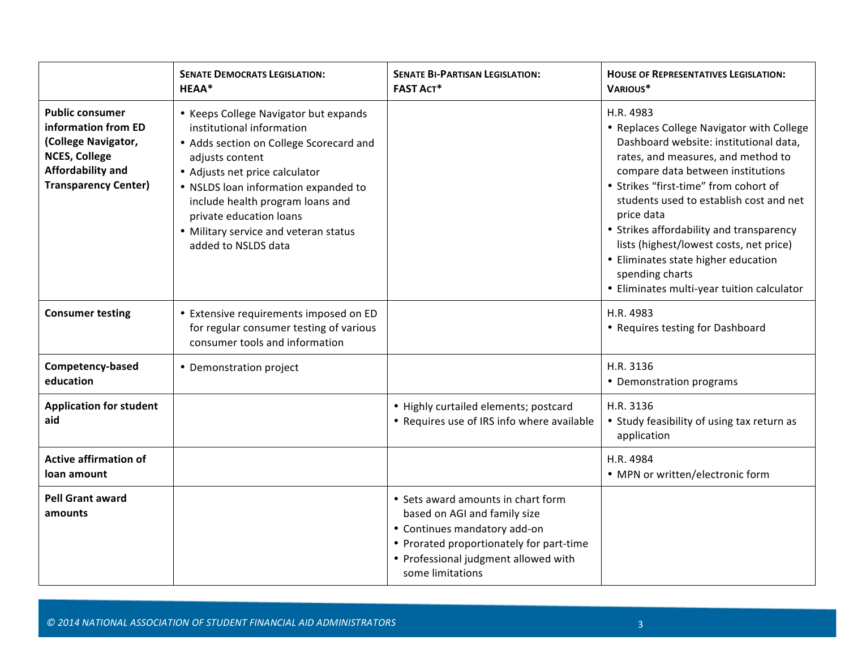|                                                                                                                                                  | <b>SENATE DEMOCRATS LEGISLATION:</b><br><b>HEAA*</b>                                                                                                                                                                                                                                                                                      | <b>SENATE BI-PARTISAN LEGISLATION:</b><br><b>FAST ACT*</b>                                                                                                                                                 | <b>HOUSE OF REPRESENTATIVES LEGISLATION:</b><br>VARIOUS*                                                                                                                                                                                                                                                                                                                                                                                                                     |
|--------------------------------------------------------------------------------------------------------------------------------------------------|-------------------------------------------------------------------------------------------------------------------------------------------------------------------------------------------------------------------------------------------------------------------------------------------------------------------------------------------|------------------------------------------------------------------------------------------------------------------------------------------------------------------------------------------------------------|------------------------------------------------------------------------------------------------------------------------------------------------------------------------------------------------------------------------------------------------------------------------------------------------------------------------------------------------------------------------------------------------------------------------------------------------------------------------------|
| <b>Public consumer</b><br>information from ED<br>(College Navigator,<br><b>NCES, College</b><br>Affordability and<br><b>Transparency Center)</b> | • Keeps College Navigator but expands<br>institutional information<br>• Adds section on College Scorecard and<br>adjusts content<br>• Adjusts net price calculator<br>• NSLDS loan information expanded to<br>include health program loans and<br>private education loans<br>• Military service and veteran status<br>added to NSLDS data |                                                                                                                                                                                                            | H.R. 4983<br>• Replaces College Navigator with College<br>Dashboard website: institutional data,<br>rates, and measures, and method to<br>compare data between institutions<br>• Strikes "first-time" from cohort of<br>students used to establish cost and net<br>price data<br>• Strikes affordability and transparency<br>lists (highest/lowest costs, net price)<br>• Eliminates state higher education<br>spending charts<br>• Eliminates multi-year tuition calculator |
| <b>Consumer testing</b>                                                                                                                          | • Extensive requirements imposed on ED<br>for regular consumer testing of various<br>consumer tools and information                                                                                                                                                                                                                       |                                                                                                                                                                                                            | H.R. 4983<br>• Requires testing for Dashboard                                                                                                                                                                                                                                                                                                                                                                                                                                |
| Competency-based<br>education                                                                                                                    | • Demonstration project                                                                                                                                                                                                                                                                                                                   |                                                                                                                                                                                                            | H.R. 3136<br>• Demonstration programs                                                                                                                                                                                                                                                                                                                                                                                                                                        |
| <b>Application for student</b><br>aid                                                                                                            |                                                                                                                                                                                                                                                                                                                                           | • Highly curtailed elements; postcard<br>• Requires use of IRS info where available                                                                                                                        | H.R. 3136<br>• Study feasibility of using tax return as<br>application                                                                                                                                                                                                                                                                                                                                                                                                       |
| <b>Active affirmation of</b><br>loan amount                                                                                                      |                                                                                                                                                                                                                                                                                                                                           |                                                                                                                                                                                                            | H.R. 4984<br>• MPN or written/electronic form                                                                                                                                                                                                                                                                                                                                                                                                                                |
| <b>Pell Grant award</b><br>amounts                                                                                                               |                                                                                                                                                                                                                                                                                                                                           | • Sets award amounts in chart form<br>based on AGI and family size<br>• Continues mandatory add-on<br>• Prorated proportionately for part-time<br>• Professional judgment allowed with<br>some limitations |                                                                                                                                                                                                                                                                                                                                                                                                                                                                              |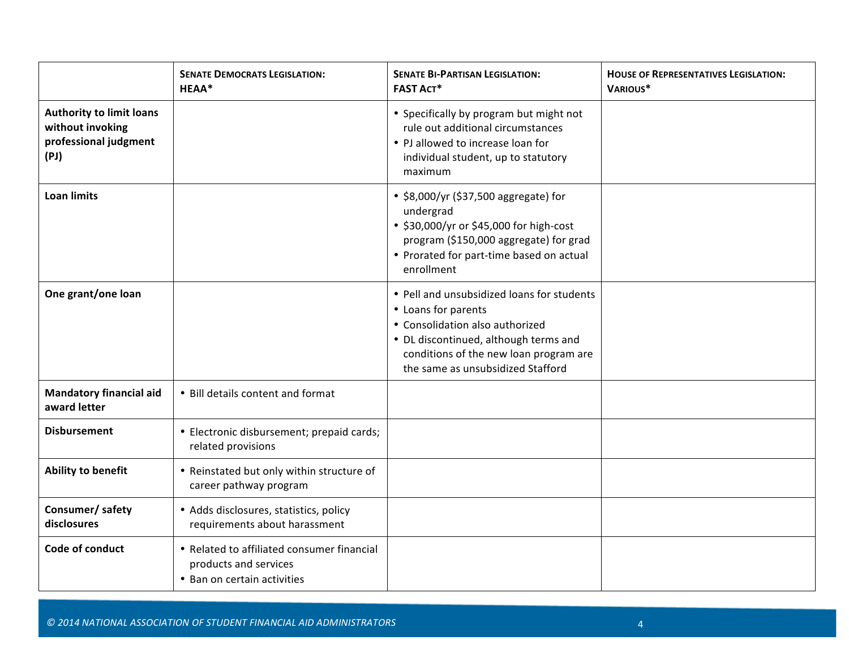|                                                                                      | <b>SENATE DEMOCRATS LEGISLATION:</b><br>HEAA*                                                      | <b>SENATE BI-PARTISAN LEGISLATION:</b><br><b>FAST ACT*</b>                                                                                                                                                                   | <b>HOUSE OF REPRESENTATIVES LEGISLATION:</b><br>VARIOUS* |
|--------------------------------------------------------------------------------------|----------------------------------------------------------------------------------------------------|------------------------------------------------------------------------------------------------------------------------------------------------------------------------------------------------------------------------------|----------------------------------------------------------|
| <b>Authority to limit loans</b><br>without invoking<br>professional judgment<br>(PI) |                                                                                                    | • Specifically by program but might not<br>rule out additional circumstances<br>• PJ allowed to increase loan for<br>individual student, up to statutory<br>maximum                                                          |                                                          |
| <b>Loan limits</b>                                                                   |                                                                                                    | • \$8,000/yr (\$37,500 aggregate) for<br>undergrad<br>• \$30,000/yr or \$45,000 for high-cost<br>program (\$150,000 aggregate) for grad<br>• Prorated for part-time based on actual<br>enrollment                            |                                                          |
| One grant/one loan                                                                   |                                                                                                    | • Pell and unsubsidized loans for students<br>• Loans for parents<br>• Consolidation also authorized<br>• DL discontinued, although terms and<br>conditions of the new loan program are<br>the same as unsubsidized Stafford |                                                          |
| <b>Mandatory financial aid</b><br>award letter                                       | • Bill details content and format                                                                  |                                                                                                                                                                                                                              |                                                          |
| <b>Disbursement</b>                                                                  | · Electronic disbursement; prepaid cards;<br>related provisions                                    |                                                                                                                                                                                                                              |                                                          |
| Ability to benefit                                                                   | • Reinstated but only within structure of<br>career pathway program                                |                                                                                                                                                                                                                              |                                                          |
| Consumer/ safety<br>disclosures                                                      | • Adds disclosures, statistics, policy<br>requirements about harassment                            |                                                                                                                                                                                                                              |                                                          |
| Code of conduct                                                                      | • Related to affiliated consumer financial<br>products and services<br>• Ban on certain activities |                                                                                                                                                                                                                              |                                                          |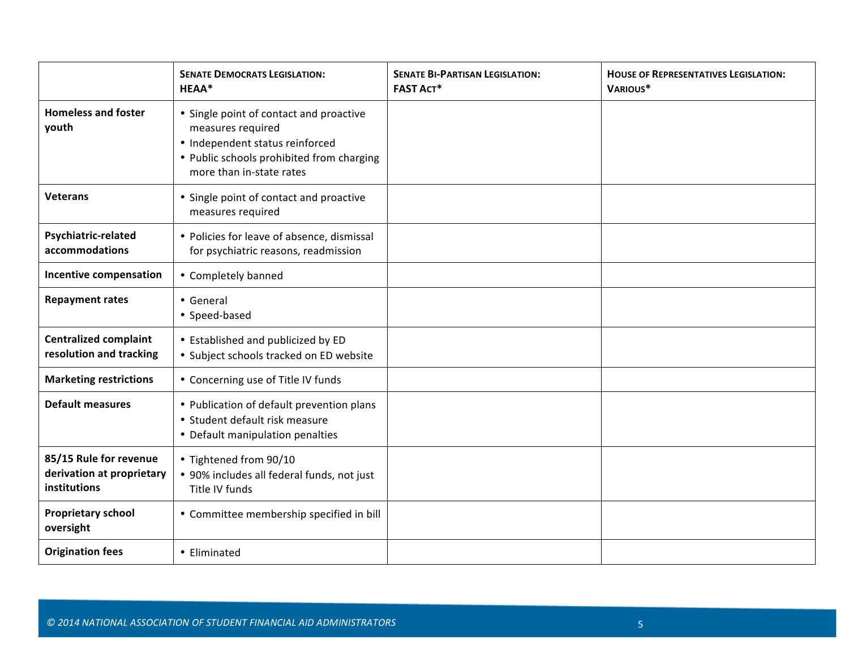|                                                                     | <b>SENATE DEMOCRATS LEGISLATION:</b><br>HEAA*                                                                                                                            | <b>SENATE BI-PARTISAN LEGISLATION:</b><br><b>FAST ACT*</b> | <b>HOUSE OF REPRESENTATIVES LEGISLATION:</b><br>VARIOUS* |
|---------------------------------------------------------------------|--------------------------------------------------------------------------------------------------------------------------------------------------------------------------|------------------------------------------------------------|----------------------------------------------------------|
| <b>Homeless and foster</b><br>youth                                 | • Single point of contact and proactive<br>measures required<br>• Independent status reinforced<br>• Public schools prohibited from charging<br>more than in-state rates |                                                            |                                                          |
| <b>Veterans</b>                                                     | • Single point of contact and proactive<br>measures required                                                                                                             |                                                            |                                                          |
| Psychiatric-related<br>accommodations                               | • Policies for leave of absence, dismissal<br>for psychiatric reasons, readmission                                                                                       |                                                            |                                                          |
| <b>Incentive compensation</b>                                       | • Completely banned                                                                                                                                                      |                                                            |                                                          |
| <b>Repayment rates</b>                                              | • General<br>• Speed-based                                                                                                                                               |                                                            |                                                          |
| <b>Centralized complaint</b><br>resolution and tracking             | • Established and publicized by ED<br>· Subject schools tracked on ED website                                                                                            |                                                            |                                                          |
| <b>Marketing restrictions</b>                                       | • Concerning use of Title IV funds                                                                                                                                       |                                                            |                                                          |
| <b>Default measures</b>                                             | • Publication of default prevention plans<br>• Student default risk measure<br>• Default manipulation penalties                                                          |                                                            |                                                          |
| 85/15 Rule for revenue<br>derivation at proprietary<br>institutions | • Tightened from 90/10<br>• 90% includes all federal funds, not just<br>Title IV funds                                                                                   |                                                            |                                                          |
| <b>Proprietary school</b><br>oversight                              | • Committee membership specified in bill                                                                                                                                 |                                                            |                                                          |
| <b>Origination fees</b>                                             | • Eliminated                                                                                                                                                             |                                                            |                                                          |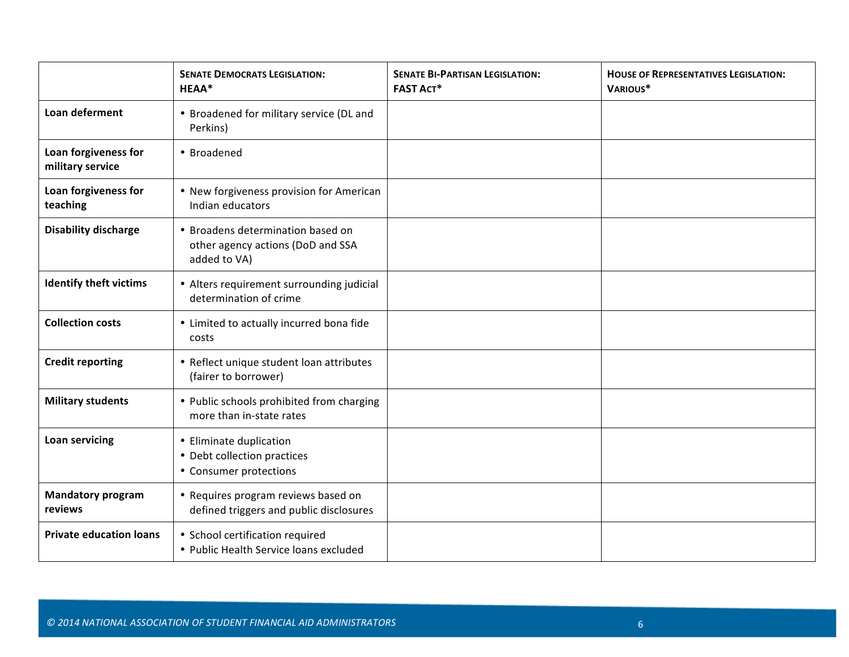|                                          | <b>SENATE DEMOCRATS LEGISLATION:</b><br>HEAA*                                          | <b>SENATE BI-PARTISAN LEGISLATION:</b><br><b>FAST ACT*</b> | <b>HOUSE OF REPRESENTATIVES LEGISLATION:</b><br>VARIOUS* |
|------------------------------------------|----------------------------------------------------------------------------------------|------------------------------------------------------------|----------------------------------------------------------|
| Loan deferment                           | • Broadened for military service (DL and<br>Perkins)                                   |                                                            |                                                          |
| Loan forgiveness for<br>military service | • Broadened                                                                            |                                                            |                                                          |
| Loan forgiveness for<br>teaching         | • New forgiveness provision for American<br>Indian educators                           |                                                            |                                                          |
| <b>Disability discharge</b>              | • Broadens determination based on<br>other agency actions (DoD and SSA<br>added to VA) |                                                            |                                                          |
| <b>Identify theft victims</b>            | • Alters requirement surrounding judicial<br>determination of crime                    |                                                            |                                                          |
| <b>Collection costs</b>                  | • Limited to actually incurred bona fide<br>costs                                      |                                                            |                                                          |
| <b>Credit reporting</b>                  | • Reflect unique student loan attributes<br>(fairer to borrower)                       |                                                            |                                                          |
| <b>Military students</b>                 | • Public schools prohibited from charging<br>more than in-state rates                  |                                                            |                                                          |
| Loan servicing                           | • Eliminate duplication<br>• Debt collection practices<br>• Consumer protections       |                                                            |                                                          |
| <b>Mandatory program</b><br>reviews      | • Requires program reviews based on<br>defined triggers and public disclosures         |                                                            |                                                          |
| <b>Private education loans</b>           | • School certification required<br>• Public Health Service loans excluded              |                                                            |                                                          |